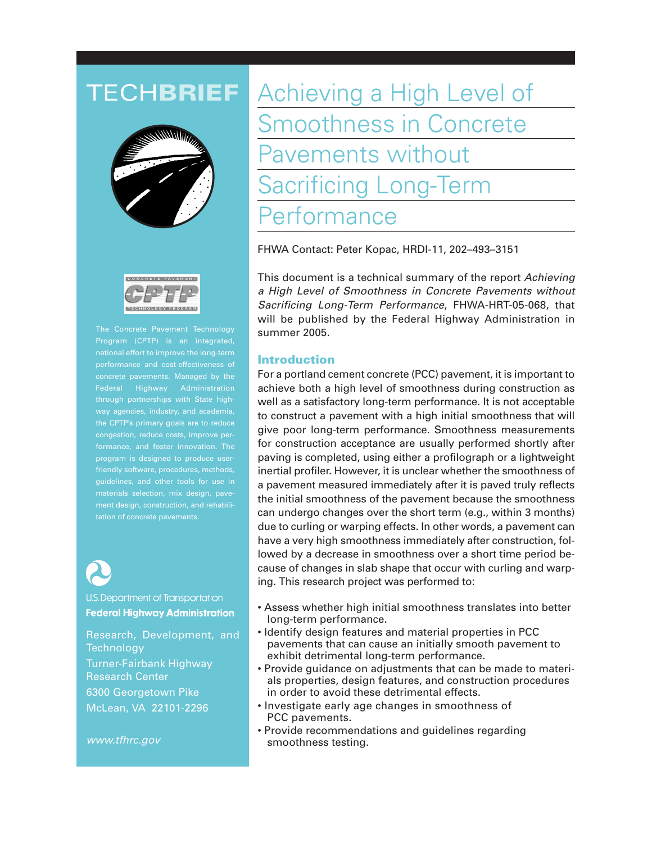



The Concrete Pavement Technology Program (CPTP) is an integrated, national effort to improve the long-term performance and cost-effectiveness of concrete pavements. Managed by the through partnerships with State highway agencies, industry, and academia, the CPTP's primary goals are to reduce congestion, reduce costs, improve performance, and foster innovation. The program is designed to produce userguidelines, and other tools for use in materials selection, mix design, pavement design, construction, and rehabilitation of concrete pavements.



U.S. Department of Transportation **Federal Highway Administration** 

Research, Development, and **Technology** Turner-Fairbank Highway Research Center 6300 Georgetown Pike McLean, VA 22101-2296

*www.tfhrc.gov*

# TECH**BRIEF** Achieving a High Level of Smoothness in Concrete Pavements without Sacrificing Long-Term erformance

FHWA Contact: Peter Kopac, HRDI-11, 202–493–3151

This document is a technical summary of the report *Achieving a High Level of Smoothness in Concrete Pavements without Sacrificing Long-Term Performance*, FHWA-HRT-05-068, that will be published by the Federal Highway Administration in summer 2005.

## **Introduction**

For a portland cement concrete (PCC) pavement, it is important to achieve both a high level of smoothness during construction as well as a satisfactory long-term performance. It is not acceptable to construct a pavement with a high initial smoothness that will give poor long-term performance. Smoothness measurements for construction acceptance are usually performed shortly after paving is completed, using either a profilograph or a lightweight inertial profiler. However, it is unclear whether the smoothness of a pavement measured immediately after it is paved truly reflects the initial smoothness of the pavement because the smoothness can undergo changes over the short term (e.g., within 3 months) due to curling or warping effects. In other words, a pavement can have a very high smoothness immediately after construction, followed by a decrease in smoothness over a short time period because of changes in slab shape that occur with curling and warping. This research project was performed to:

- Assess whether high initial smoothness translates into better long-term performance.
- Identify design features and material properties in PCC pavements that can cause an initially smooth pavement to exhibit detrimental long-term performance.
- Provide guidance on adjustments that can be made to materials properties, design features, and construction procedures in order to avoid these detrimental effects.
- Investigate early age changes in smoothness of PCC pavements.
- Provide recommendations and guidelines regarding smoothness testing.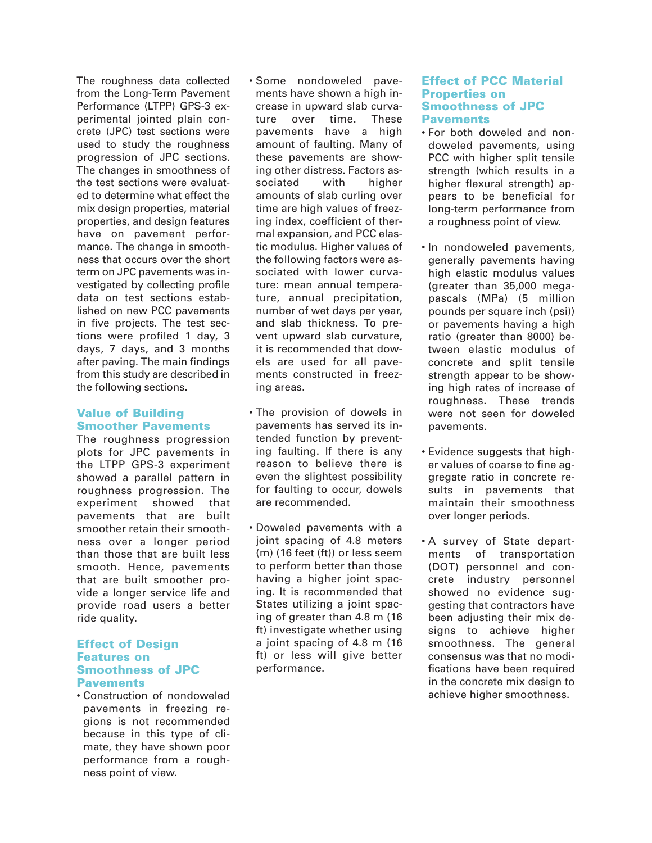The roughness data collected from the Long-Term Pavement Performance (LTPP) GPS-3 experimental jointed plain concrete (JPC) test sections were used to study the roughness progression of JPC sections. The changes in smoothness of the test sections were evaluated to determine what effect the mix design properties, material properties, and design features have on pavement performance. The change in smoothness that occurs over the short term on JPC pavements was investigated by collecting profile data on test sections established on new PCC pavements in five projects. The test sections were profiled 1 day, 3 days, 7 days, and 3 months after paving. The main findings from this study are described in the following sections.

# **Value of Building Smoother Pavements**

The roughness progression plots for JPC pavements in the LTPP GPS-3 experiment showed a parallel pattern in roughness progression. The experiment showed that pavements that are built smoother retain their smoothness over a longer period than those that are built less smooth. Hence, pavements that are built smoother provide a longer service life and provide road users a better ride quality.

#### **Effect of Design Features on Smoothness of JPC Pavements**

• Construction of nondoweled pavements in freezing regions is not recommended because in this type of climate, they have shown poor performance from a roughness point of view.

- Some nondoweled pavements have shown a high increase in upward slab curvature over time. These pavements have a high amount of faulting. Many of these pavements are showing other distress. Factors associated with higher amounts of slab curling over time are high values of freezing index, coefficient of thermal expansion, and PCC elastic modulus. Higher values of the following factors were associated with lower curvature: mean annual temperature, annual precipitation, number of wet days per year, and slab thickness. To prevent upward slab curvature, it is recommended that dowels are used for all pavements constructed in freezing areas.
- The provision of dowels in pavements has served its intended function by preventing faulting. If there is any reason to believe there is even the slightest possibility for faulting to occur, dowels are recommended.
- Doweled pavements with a joint spacing of 4.8 meters (m) (16 feet (ft)) or less seem to perform better than those having a higher joint spacing. It is recommended that States utilizing a joint spacing of greater than 4.8 m (16 ft) investigate whether using a joint spacing of 4.8 m (16 ft) or less will give better performance.

#### **Effect of PCC Material Properties on Smoothness of JPC Pavements**

- For both doweled and nondoweled pavements, using PCC with higher split tensile strength (which results in a higher flexural strength) appears to be beneficial for long-term performance from a roughness point of view.
- In nondoweled pavements, generally pavements having high elastic modulus values (greater than 35,000 megapascals (MPa) (5 million pounds per square inch (psi)) or pavements having a high ratio (greater than 8000) between elastic modulus of concrete and split tensile strength appear to be showing high rates of increase of roughness. These trends were not seen for doweled pavements.
- Evidence suggests that higher values of coarse to fine aggregate ratio in concrete results in pavements that maintain their smoothness over longer periods.
- A survey of State departments of transportation (DOT) personnel and concrete industry personnel showed no evidence suggesting that contractors have been adjusting their mix designs to achieve higher smoothness. The general consensus was that no modifications have been required in the concrete mix design to achieve higher smoothness.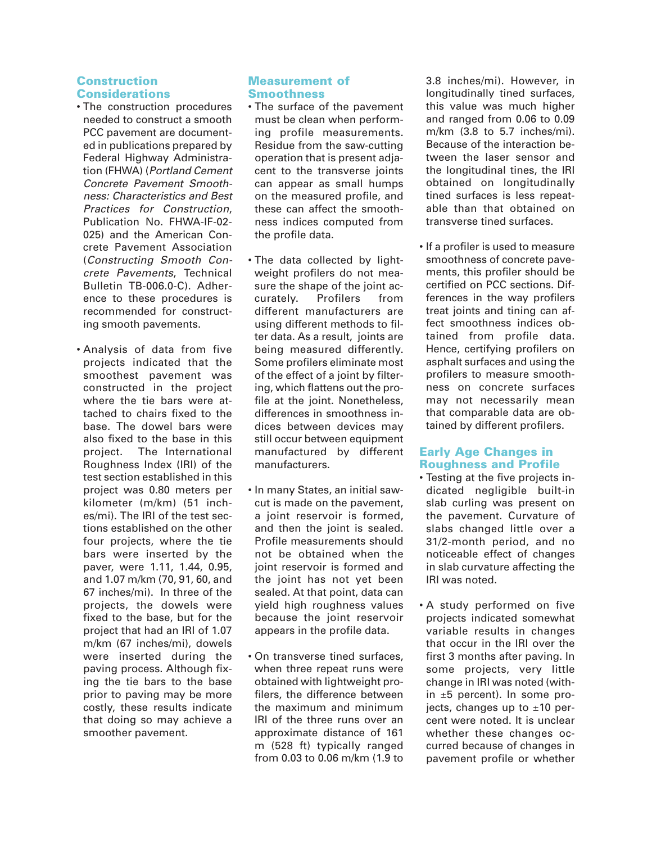# **Construction Considerations**

- The construction procedures needed to construct a smooth PCC pavement are documented in publications prepared by Federal Highway Administration (FHWA) (*Portland Cement Concrete Pavement Smoothness: Characteristics and Best Practices for Construction*, Publication No. FHWA-IF-02- 025) and the American Concrete Pavement Association (*Constructing Smooth Concrete Pavements*, Technical Bulletin TB-006.0-C). Adherence to these procedures is recommended for constructing smooth pavements.
- Analysis of data from five projects indicated that the smoothest pavement was constructed in the project where the tie bars were attached to chairs fixed to the base. The dowel bars were also fixed to the base in this project. The International Roughness Index (IRI) of the test section established in this project was 0.80 meters per kilometer (m/km) (51 inches/mi). The IRI of the test sections established on the other four projects, where the tie bars were inserted by the paver, were 1.11, 1.44, 0.95, and 1.07 m/km (70, 91, 60, and 67 inches/mi). In three of the projects, the dowels were fixed to the base, but for the project that had an IRI of 1.07 m/km (67 inches/mi), dowels were inserted during the paving process. Although fixing the tie bars to the base prior to paving may be more costly, these results indicate that doing so may achieve a smoother pavement.

## **Measurement of Smoothness**

- The surface of the pavement must be clean when performing profile measurements. Residue from the saw-cutting operation that is present adjacent to the transverse joints can appear as small humps on the measured profile, and these can affect the smoothness indices computed from the profile data.
- The data collected by lightweight profilers do not measure the shape of the joint accurately. Profilers from different manufacturers are using different methods to filter data. As a result, joints are being measured differently. Some profilers eliminate most of the effect of a joint by filtering, which flattens out the profile at the joint. Nonetheless, differences in smoothness indices between devices may still occur between equipment manufactured by different manufacturers.
- In many States, an initial sawcut is made on the pavement, a joint reservoir is formed, and then the joint is sealed. Profile measurements should not be obtained when the joint reservoir is formed and the joint has not yet been sealed. At that point, data can yield high roughness values because the joint reservoir appears in the profile data.
- On transverse tined surfaces, when three repeat runs were obtained with lightweight profilers, the difference between the maximum and minimum IRI of the three runs over an approximate distance of 161 m (528 ft) typically ranged from 0.03 to 0.06 m/km (1.9 to

3.8 inches/mi). However, in longitudinally tined surfaces, this value was much higher and ranged from 0.06 to 0.09 m/km (3.8 to 5.7 inches/mi). Because of the interaction between the laser sensor and the longitudinal tines, the IRI obtained on longitudinally tined surfaces is less repeatable than that obtained on transverse tined surfaces.

• If a profiler is used to measure smoothness of concrete pavements, this profiler should be certified on PCC sections. Differences in the way profilers treat joints and tining can affect smoothness indices obtained from profile data. Hence, certifying profilers on asphalt surfaces and using the profilers to measure smoothness on concrete surfaces may not necessarily mean that comparable data are obtained by different profilers.

# **Early Age Changes in Roughness and Profile**

- Testing at the five projects indicated negligible built-in slab curling was present on the pavement. Curvature of slabs changed little over a 31/2-month period, and no noticeable effect of changes in slab curvature affecting the IRI was noted.
- A study performed on five projects indicated somewhat variable results in changes that occur in the IRI over the first 3 months after paving. In some projects, very little change in IRI was noted (within ±5 percent). In some projects, changes up to  $±10$  percent were noted. It is unclear whether these changes occurred because of changes in pavement profile or whether